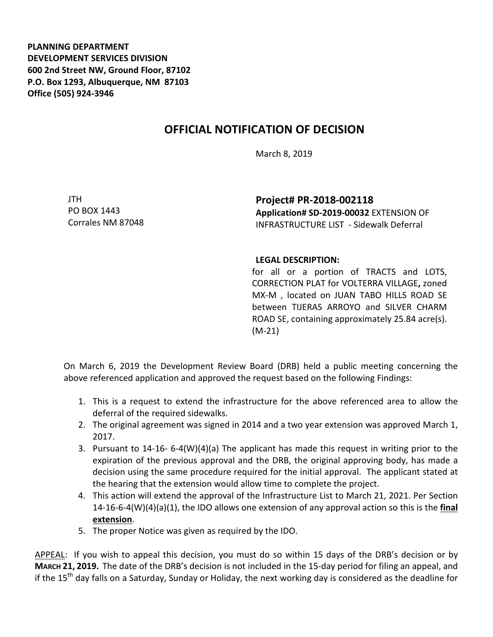**PLANNING DEPARTMENT DEVELOPMENT SERVICES DIVISION 600 2nd Street NW, Ground Floor, 87102 P.O. Box 1293, Albuquerque, NM 87103 Office (505) 924-3946** 

## **OFFICIAL NOTIFICATION OF DECISION**

March 8, 2019

JTH PO BOX 1443 Corrales NM 87048

**Project# PR-2018-002118 Application# SD-2019-00032** EXTENSION OF INFRASTRUCTURE LIST - Sidewalk Deferral

## **LEGAL DESCRIPTION:**

for all or a portion of TRACTS and LOTS, CORRECTION PLAT for VOLTERRA VILLAGE**,** zoned MX-M , located on JUAN TABO HILLS ROAD SE between TIJERAS ARROYO and SILVER CHARM ROAD SE, containing approximately 25.84 acre(s). (M-21)

On March 6, 2019 the Development Review Board (DRB) held a public meeting concerning the above referenced application and approved the request based on the following Findings:

- 1. This is a request to extend the infrastructure for the above referenced area to allow the deferral of the required sidewalks.
- 2. The original agreement was signed in 2014 and a two year extension was approved March 1, 2017.
- 3. Pursuant to 14-16- 6-4(W)(4)(a) The applicant has made this request in writing prior to the expiration of the previous approval and the DRB, the original approving body, has made a decision using the same procedure required for the initial approval. The applicant stated at the hearing that the extension would allow time to complete the project.
- 4. This action will extend the approval of the Infrastructure List to March 21, 2021. Per Section 14-16-6-4(W)(4)(a)(1), the IDO allows one extension of any approval action so this is the **final extension**.
- 5. The proper Notice was given as required by the IDO.

APPEAL: If you wish to appeal this decision, you must do so within 15 days of the DRB's decision or by **MARCH 21, 2019.** The date of the DRB's decision is not included in the 15-day period for filing an appeal, and if the 15<sup>th</sup> day falls on a Saturday, Sunday or Holiday, the next working day is considered as the deadline for